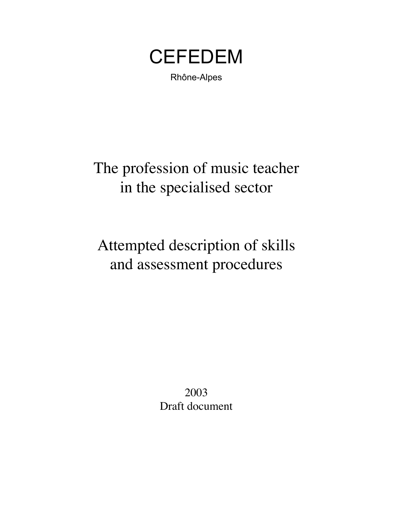**CEFEDEM** 

Rhône-Alpes

The profession of music teacher in the specialised sector

Attempted description of skills and assessment procedures

> 2003 Draft document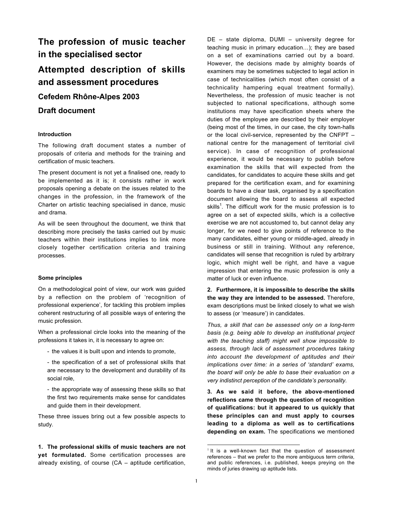# **The profession of music teacher in the specialised sector**

# **Attempted description of skills and assessment procedures**

**Cefedem Rhône-Alpes 2003**

# **Draft document**

#### **Introduction**

The following draft document states a number of proposals of criteria and methods for the training and certification of music teachers.

The present document is not yet a finalised one, ready to be implemented as it is; it consists rather in work proposals opening a debate on the issues related to the changes in the profession, in the framework of the Charter on artistic teaching specialised in dance, music and drama.

As will be seen throughout the document, we think that describing more precisely the tasks carried out by music teachers within their institutions implies to link more closely together certification criteria and training processes.

#### **Some principles**

On a methodological point of view, our work was guided by a reflection on the problem of 'recognition of professional experience', for tackling this problem implies coherent restructuring of all possible ways of entering the music profession.

When a professional circle looks into the meaning of the professions it takes in, it is necessary to agree on:

- the values it is built upon and intends to promote,
- the specification of a set of professional skills that are necessary to the development and durability of its social role,
- the appropriate way of assessing these skills so that the first two requirements make sense for candidates and guide them in their development.

These three issues bring out a few possible aspects to study.

**1. The professional skills of music teachers are not yet formulated.** Some certification processes are already existing, of course (CA – aptitude certification,

DE – state diploma, DUMI – university degree for teaching music in primary education…); they are based on a set of examinations carried out by a board. However, the decisions made by almighty boards of examiners may be sometimes subjected to legal action in case of technicalities (which most often consist of a technicality hampering equal treatment formally). Nevertheless, the profession of music teacher is not subjected to national specifications, although some institutions may have specification sheets where the duties of the employee are described by their employer (being most of the times, in our case, the city town-halls or the local civil-service, represented by the CNFPT – national centre for the management of territorial civil service). In case of recognition of professional experience, it would be necessary to publish before examination the skills that will expected from the candidates, for candidates to acquire these skills and get prepared for the certification exam, and for examining boards to have a clear task, organised by a specification document allowing the board to assess all expected skills<sup>1</sup>. The difficult work for the music profession is to agree on a set of expected skills, which is a collective exercise we are not accustomed to, but cannot delay any longer, for we need to give points of reference to the many candidates, either young or middle-aged, already in business or still in training. Without any reference, candidates will sense that recognition is ruled by arbitrary logic, which might well be right, and have a vague impression that entering the music profession is only a matter of luck or even influence.

**2. Furthermore, it is impossible to describe the skills the way they are intended to be assessed.** Therefore, exam descriptions must be linked closely to what we wish to assess (or 'measure') in candidates.

*Thus, a skill that can be assessed only on a long-term basis (e.g. being able to develop an institutional project with the teaching staff) might well show impossible to assess, through lack of assessment procedures taking into account the development of aptitudes and their implications over time: in a series of 'standard' exams, the board will only be able to base their evaluation on a very indistinct perception of the candidate's personality.*

**3. As we said it before, the above-mentioned reflections came through the question of recognition of qualifications: but it appeared to us quickly that these principles can and must apply to courses leading to a diploma as well as to certifications depending on exam.** The specifications we mentioned

 $1$  It is a well-known fact that the question of assessment references – that we prefer to the more ambiguous term *criteria*, and public references, i.e. published, keeps preying on the minds of juries drawing up aptitude lists.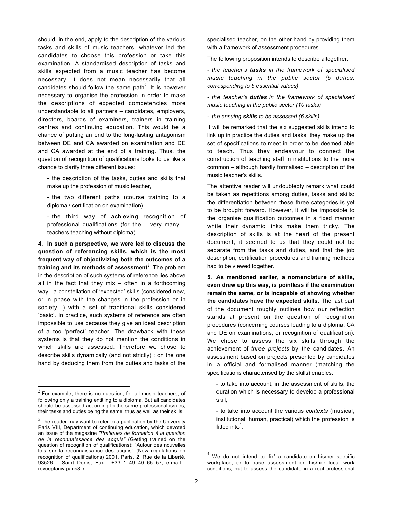should, in the end, apply to the description of the various tasks and skills of music teachers, whatever led the candidates to choose this profession or take this examination. A standardised description of tasks and skills expected from a music teacher has become necessary: it does not mean necessarily that all candidates should follow the same path<sup>2</sup>. It is however necessary to organise the profession in order to make the descriptions of expected competencies more understandable to all partners – candidates, employers, directors, boards of examiners, trainers in training centres and continuing education. This would be a chance of putting an end to the long-lasting antagonism between DE and CA awarded on examination and DE and CA awarded at the end of a training. Thus, the question of recognition of qualifications looks to us like a chance to clarify three different issues:

- the description of the tasks, duties and skills that make up the profession of music teacher,

- the two different paths (course training to a diploma / certification on examination)

- the third way of achieving recognition of professional qualifications (for the – very many – teachers teaching without diploma)

**4. In such a perspective, we were led to discuss the question of referencing skills, which is the most frequent way of objectivizing both the outcomes of a training and its methods of assessment<sup>3</sup>** . The problem in the description of such systems of reference lies above all in the fact that they mix – often in a forthcoming way –a constellation of 'expected' skills (considered new, or in phase with the changes in the profession or in society…) with a set of traditional skills considered 'basic'. In practice, such systems of reference are often impossible to use because they give an ideal description of a too 'perfect' teacher. The drawback with these systems is that they do not mention the conditions in which skills are assessed. Therefore we chose to describe skills dynamically (and not strictly) : on the one hand by deducing them from the duties and tasks of the specialised teacher, on the other hand by providing them with a framework of assessment procedures.

The following proposition intends to describe altogether:

*- the teacher's tasks in the framework of specialised music teaching in the public sector (5 duties, corresponding to 5 essential values)*

*- the teacher's duties in the framework of specialised music teaching in the public sector (10 tasks)*

*- the ensuing skills to be assessed (6 skills)*

It will be remarked that the six suggested skills intend to link up in practice the duties and tasks: they make up the set of specifications to meet in order to be deemed able to teach. Thus they endeavour to connect the construction of teaching staff in institutions to the more common – although hardly formalised – description of the music teacher's skills.

The attentive reader will undoubtedly remark what could be taken as repetitions among duties, tasks and skills: the differentiation between these three categories is yet to be brought forward. However, it will be impossible to the organise qualification outcomes in a fixed manner while their dynamic links make them tricky. The description of skills is at the heart of the present document; it seemed to us that they could not be separate from the tasks and duties, and that the job description, certification procedures and training methods had to be viewed together.

**5. As mentioned earlier, a nomenclature of skills, even drew up this way, is pointless if the examination remain the same, or is incapable of showing whether the candidates have the expected skills.** The last part of the document roughly outlines how our reflection stands at present on the question of recognition procedures (concerning courses leading to a diploma, CA and DE on examinations, or recognition of qualification). We chose to assess the six skills through the achievement of *three projects* by the candidates. An assessment based on projects presented by candidates in a official and formalised manner (matching the specifications characterised by the skills) enables:

- to take into account, in the assessment of skills, the duration which is necessary to develop a professional skill,

- to take into account the various *contexts* (musical, institutional, human, practical) which the profession is fitted into<sup>4</sup>,

 $2^{2}$  For example, there is no question, for all music teachers, of following only a training entitling to a diploma. But all candidates should be assessed according to the same professional issues, their tasks and duties being the same, thus as well as their skills.

 $3$  The reader may want to refer to a publication by the University Paris VIII, Department of continuing education, which devoted an issue of the magazine *"Pratiques de formation à la question de la reconnaissance des acquis"* (Getting trained on the question of recognition of qualifications): "Autour des nouvelles lois sur la reconnaissance des acquis" (New regulations on recognition of qualifications) 2001, Paris, 2, Rue de la Liberté, 93526 – Saint Denis, Fax : +33 1 49 40 65 57, e-mail : revuepfaniv-paris8.fr

We do not intend to 'fix' a candidate on his/her specific workplace, or to base assessment on his/her local work conditions, but to assess the candidate in a real professional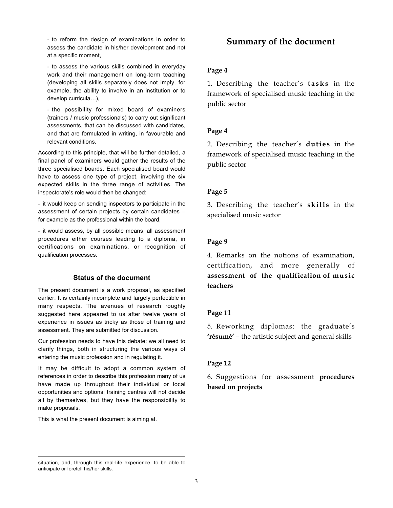- to reform the design of examinations in order to assess the candidate in his/her development and not at a specific moment,

- to assess the various skills combined in everyday work and their management on long-term teaching (developing all skills separately does not imply, for example, the ability to involve in an institution or to develop curricula…),

- the possibility for mixed board of examiners (trainers / music professionals) to carry out significant assessments, that can be discussed with candidates, and that are formulated in writing, in favourable and relevant conditions.

According to this principle, that will be further detailed, a final panel of examiners would gather the results of the three specialised boards. Each specialised board would have to assess one type of project, involving the six expected skills in the three range of activities. The inspectorate's role would then be changed:

- it would keep on sending inspectors to participate in the assessment of certain projects by certain candidates – for example as the professional within the board,

- it would assess, by all possible means, all assessment procedures either courses leading to a diploma, in certifications on examinations, or recognition of qualification processes.

#### **Status of the document**

The present document is a work proposal, as specified earlier. It is certainly incomplete and largely perfectible in many respects. The avenues of research roughly suggested here appeared to us after twelve years of experience in issues as tricky as those of training and assessment. They are submitted for discussion.

Our profession needs to have this debate: we all need to clarify things, both in structuring the various ways of entering the music profession and in regulating it.

It may be difficult to adopt a common system of references in order to describe this profession many of us have made up throughout their individual or local opportunities and options: training centres will not decide all by themselves, but they have the responsibility to make proposals.

This is what the present document is aiming at.

1

# **Summary of the document**

## **Page 4**

1. Describing the teacher's **tasks** in the framework of specialised music teaching in the public sector

## **Page 4**

2. Describing the teacher's **duties** in the framework of specialised music teaching in the public sector

## **Page 5**

3. Describing the teacher's **skills** in the specialised music sector

## **Page 9**

4. Remarks on the notions of examination, certification, and more generally **assessment of the qualification of music teachers**

# **Page 11**

5. Reworking diplomas: the graduate's **'résumé'** – the artistic subject and general skills

## **Page 12**

6. Suggestions for assessment **procedures based on projects**

situation, and, through this real-life experience, to be able to anticipate or foretell his/her skills.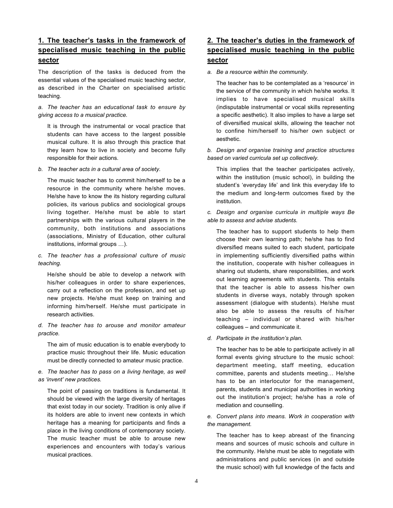# **1. The teacher's tasks in the framework of specialised music teaching in the public sector**

The description of the tasks is deduced from the essential values of the specialised music teaching sector, as described in the Charter on specialised artistic teaching.

#### *a. The teacher has an educational task to ensure by giving access to a musical practice.*

It is through the instrumental or vocal practice that students can have access to the largest possible musical culture. It is also through this practice that they learn how to live in society and become fully responsible for their actions.

*b. The teacher acts in a cultural area of society.*

The music teacher has to commit him/herself to be a resource in the community where he/she moves. He/she have to know the its history regarding cultural policies, its various publics and sociological groups living together. He/she must be able to start partnerships with the various cultural players in the community, both institutions and associations (associations, Ministry of Education, other cultural institutions, informal groups …).

#### *c. The teacher has a professional culture of music teaching.*

He/she should be able to develop a network with his/her colleagues in order to share experiences, carry out a reflection on the profession, and set up new projects. He/she must keep on training and informing him/herself. He/she must participate in research activities.

*d. The teacher has to arouse and monitor amateur practice.*

The aim of music education is to enable everybody to practice music throughout their life. Music education must be directly connected to amateur music practice.

*e. The teacher has to pass on a living heritage, as well as 'invent' new practices.*

The point of passing on traditions is fundamental. It should be viewed with the large diversity of heritages that exist today in our society. Tradition is only alive if its holders are able to invent new contexts in which heritage has a meaning for participants and finds a place in the living conditions of contemporary society. The music teacher must be able to arouse new experiences and encounters with today's various musical practices.

# **2. The teacher's duties in the framework of specialised music teaching in the public sector**

#### *a. Be a resource within the community.*

The teacher has to be contemplated as a 'resource' in the service of the community in which he/she works. It implies to have specialised musical skills (indisputable instrumental or vocal skills representing a specific aesthetic). It also implies to have a large set of diversified musical skills, allowing the teacher not to confine him/herself to his/her own subject or aesthetic.

*b. Design and organise training and practice structures based on varied curricula set up collectively.*

This implies that the teacher participates actively, within the institution (music school), in building the student's 'everyday life' and link this everyday life to the medium and long-term outcomes fixed by the institution.

*c. Design and organise curricula in multiple ways Be able to assess and advise students.*

The teacher has to support students to help them choose their own learning path; he/she has to find diversified means suited to each student, participate in implementing sufficiently diversified paths within the institution, cooperate with his/her colleagues in sharing out students, share responsibilities, and work out learning agreements with students. This entails that the teacher is able to assess his/her own students in diverse ways, notably through spoken assessment (dialogue with students). He/she must also be able to assess the results of his/her teaching – individual or shared with his/her colleagues – and communicate it.

*d. Participate in the institution's plan.*

The teacher has to be able to participate actively in all formal events giving structure to the music school: department meeting, staff meeting, education committee, parents and students meeting… He/she has to be an interlocutor for the management, parents, students and municipal authorities in working out the institution's project; he/she has a role of mediation and counselling.

#### *e. Convert plans into means. Work in cooperation with the management.*

The teacher has to keep abreast of the financing means and sources of music schools and culture in the community. He/she must be able to negotiate with administrations and public services (in and outside the music school) with full knowledge of the facts and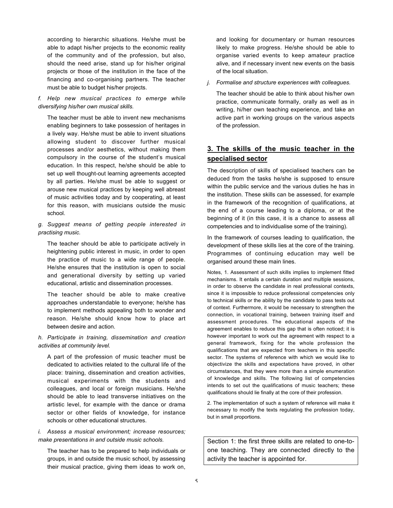according to hierarchic situations. He/she must be able to adapt his/her projects to the economic reality of the community and of the profession, but also, should the need arise, stand up for his/her original projects or those of the institution in the face of the financing and co-organising partners. The teacher must be able to budget his/her projects.

#### *f. Help new musical practices to emerge while diversifying his/her own musical skills.*

The teacher must be able to invent new mechanisms enabling beginners to take possession of heritages in a lively way. He/she must be able to invent situations allowing student to discover further musical processes and/or aesthetics, without making them compulsory in the course of the student's musical education. In this respect, he/she should be able to set up well thought-out learning agreements accepted by all parties. He/she must be able to suggest or arouse new musical practices by keeping well abreast of music activities today and by cooperating, at least for this reason, with musicians outside the music school.

#### *g. Suggest means of getting people interested in practising music.*

The teacher should be able to participate actively in heightening public interest in music, in order to open the practice of music to a wide range of people. He/she ensures that the institution is open to social and generational diversity by setting up varied educational, artistic and dissemination processes.

The teacher should be able to make creative approaches understandable to everyone; he/she has to implement methods appealing both to wonder and reason. He/she should know how to place art between desire and action.

#### *h. Participate in training, dissemination and creation activities at community level.*

A part of the profession of music teacher must be dedicated to activities related to the cultural life of the place: training, dissemination and creation activities, musical experiments with the students and colleagues, and local or foreign musicians. He/she should be able to lead transverse initiatives on the artistic level, for example with the dance or drama sector or other fields of knowledge, for instance schools or other educational structures.

#### *i. Assess a musical environment; increase resources; make presentations in and outside music schools.*

The teacher has to be prepared to help individuals or groups, in and outside the music school, by assessing their musical practice, giving them ideas to work on,

and looking for documentary or human resources likely to make progress. He/she should be able to organise varied events to keep amateur practice alive, and if necessary invent new events on the basis of the local situation.

*j. Formalise and structure experiences with colleagues.*

The teacher should be able to think about his/her own practice, communicate formally, orally as well as in writing, hi/her own teaching experience, and take an active part in working groups on the various aspects of the profession.

# **3. The skills of the music teacher in the specialised sector**

The description of skills of specialised teachers can be deduced from the tasks he/she is supposed to ensure within the public service and the various duties he has in the institution. These skills can be assessed, for example in the framework of the recognition of qualifications, at the end of a course leading to a diploma, or at the beginning of it (in this case, it is a chance to assess all competencies and to individualise some of the training).

In the framework of courses leading to qualification, the development of these skills lies at the core of the training. Programmes of continuing education may well be organised around these main lines.

Notes, 1. Assessment of such skills implies to implement fitted mechanisms. It entails a certain duration and multiple sessions, in order to observe the candidate in real professional contexts, since it is impossible to reduce professional competencies only to technical skills or the ability by the candidate to pass tests out of context. Furthermore, it would be necessary to strengthen the connection, in vocational training, between training itself and assessment procedures. The educational aspects of the agreement enables to reduce this gap that is often noticed; it is however important to work out the agreement with respect to a general framework, fixing for the whole profession the qualifications that are expected from teachers in this specific sector. The systems of reference with which we would like to objectivize the skills and expectations have proved, in other circumstances, that they were more than a simple enumeration of knowledge and skills. The following list of competencies intends to set out the qualifications of music teachers; these qualifications should lie finally at the core of their profession.

2. The implementation of such a system of reference will make it necessary to modify the texts regulating the profession today, but in small proportions.

Section 1: the first three skills are related to one-toone teaching. They are connected directly to the activity the teacher is appointed for.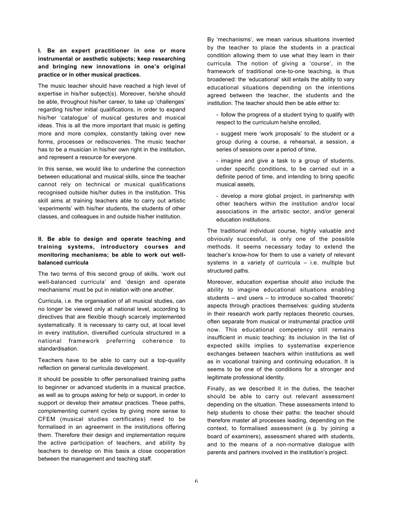#### **I. Be an expert practitioner in one or more instrumental or aesthetic subjects; keep researching and bringing new innovations in one's original practice or in other musical practices.**

The music teacher should have reached a high level of expertise in his/her subject(s). Moreover, he/she should be able, throughout his/her career, to take up 'challenges' regarding his/her initial qualifications, in order to expand his/her 'catalogue' of musical gestures and musical ideas. This is all the more important that music is getting more and more complex, constantly taking over new forms, processes or rediscoveries. The music teacher has to be a musician in his/her own right in the institution, and represent a resource for everyone.

In this sense, we would like to underline the connection between educational and musical skills, since the teacher cannot rely on technical or musical qualifications recognised outside his/her duties in the institution. This skill aims at training teachers able to carry out artistic 'experiments' with his/her students, the students of other classes, and colleagues in and outside his/her institution.

#### **II. Be able to design and operate teaching and training systems, introductory courses and monitoring mechanisms; be able to work out wellbalanced curricula**

The two terms of this second group of skills, 'work out well-balanced curricula' and 'design and operate mechanisms' must be put in relation with one another.

Curricula, i.e. the organisation of all musical studies, can no longer be viewed only at national level, according to directives that are flexible though scarcely implemented systematically. It is necessary to carry out, at local level in every institution, diversified curricula structured in a national framework preferring coherence to standardisation.

Teachers have to be able to carry out a top-quality reflection on general curricula development.

It should be possible to offer personalised training paths to beginner or advanced students in a musical practice, as well as to groups asking for help or support, in order to support or develop their amateur practices. These paths, complementing current cycles by giving more sense to CFEM (musical studies certificates) need to be formalised in an agreement in the institutions offering them. Therefore their design and implementation require the active participation of teachers, and ability by teachers to develop on this basis a close cooperation between the management and teaching staff.

By 'mechanisms', we mean various situations invented by the teacher to place the students in a practical condition allowing them to use what they learn in their curricula. The notion of giving a 'course', in the framework of traditional one-to-one teaching, is thus broadened: the 'educational' skill entails the ability to vary educational situations depending on the intentions agreed between the teacher, the students and the institution. The teacher should then be able either to:

- follow the progress of a student trying to qualify with respect to the curriculum he/she enrolled,

- suggest mere 'work proposals' to the student or a group during a course, a rehearsal, a session, a series of sessions over a period of time,

- imagine and give a task to a group of students, under specific conditions, to be carried out in a definite period of time, and intending to bring specific musical assets,

- develop a more global project, in partnership with other teachers within the institution and/or local associations in the artistic sector, and/or general education institutions.

The traditional individual course, highly valuable and obviously successful, is only one of the possible methods. It seems necessary today to extend the teacher's know-how for them to use a variety of relevant systems in a variety of curricula – i.e. multiple but structured paths.

Moreover, education expertise should also include the ability to imagine educational situations enabling students – and users – to introduce so-called 'theoretic' aspects through practices themselves: guiding students in their research work partly replaces theoretic courses, often separate from musical or instrumental practice until now. This educational competency still remains insufficient in music teaching: its inclusion in the list of expected skills implies to systematise experience exchanges between teachers within institutions as well as in vocational training and continuing education. It is seems to be one of the conditions for a stronger and legitimate professional identity.

Finally, as we described it in the duties, the teacher should be able to carry out relevant assessment depending on the situation. These assessments intend to help students to chose their paths: the teacher should therefore master all processes leading, depending on the context, to formalised assessment (e.g. by joining a board of examiners), assessment shared with students, and to the means of a non-normative dialogue with parents and partners involved in the institution's project.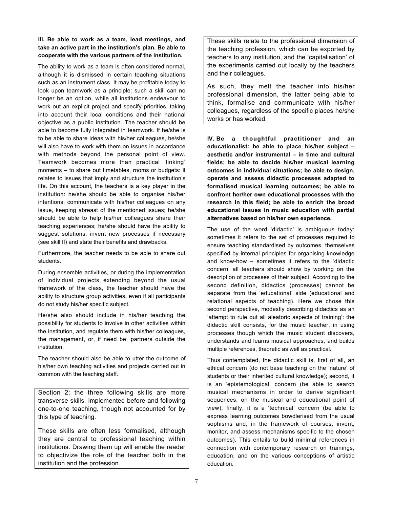**III. Be able to work as a team, lead meetings, and take an active part in the institution's plan. Be able to cooperate with the various partners of the institution.**

The ability to work as a team is often considered normal, although it is dismissed in certain teaching situations such as an instrument class. It may be profitable today to look upon teamwork as a principle: such a skill can no longer be an option, while all institutions endeavour to work out an explicit project and specify priorities, taking into account their local conditions and their national objective as a public institution. The teacher should be able to become fully integrated in teamwork. If he/she is to be able to share ideas with his/her colleagues, he/she will also have to work with them on issues in accordance with methods beyond the personal point of view. Teamwork becomes more than practical 'linking' moments – to share out timetables, rooms or budgets: it relates to issues that imply and structure the institution's life. On this account, the teachers is a key player in the institution: he/she should be able to organise his/her intentions, communicate with his/her colleagues on any issue, keeping abreast of the mentioned issues; he/she should be able to help his/her colleagues share their teaching experiences; he/she should have the ability to suggest solutions, invent new processes if necessary (see skill II) and state their benefits and drawbacks.

Furthermore, the teacher needs to be able to share out students.

During ensemble activities, or during the implementation of individual projects extending beyond the usual framework of the class, the teacher should have the ability to structure group activities, even if all participants do not study his/her specific subject.

He/she also should include in his/her teaching the possibility for students to involve in other activities within the institution, and regulate them with his/her colleagues, the management, or, if need be, partners outside the institution.

The teacher should also be able to utter the outcome of his/her own teaching activities and projects carried out in common with the teaching staff.

Section 2: the three following skills are more transverse skills, implemented before and following one-to-one teaching, though not accounted for by this type of teaching.

These skills are often less formalised, although they are central to professional teaching within institutions. Drawing them up will enable the reader to objectivize the role of the teacher both in the institution and the profession.

These skills relate to the professional dimension of the teaching profession, which can be exported by teachers to any institution, and the 'capitalisation' of the experiments carried out locally by the teachers and their colleagues.

As such, they melt the teacher into his/her professional dimension, the latter being able to think, formalise and communicate with his/her colleagues, regardless of the specific places he/she works or has worked.

**IV. Be a thoughtful practitioner and an educationalist: be able to place his/her subject – aesthetic and/or instrumental – in time and cultural fields; be able to decide his/her musical learning outcomes in individual situations; be able to design, operate and assess didactic processes adapted to formalised musical learning outcomes; be able to confront her/her own educational processes with the research in this field; be able to enrich the broad educational issues in music education with partial alternatives based on his/her own experience.**

The use of the word 'didactic' is ambiguous today: sometimes it refers to the set of processes required to ensure teaching standardised by outcomes, themselves specified by internal principles for organising knowledge and know-how – sometimes it refers to the 'didactic concern' all teachers should show by working on the description of processes of their subject. According to the second definition, didactics (processes) cannot be separate from the 'educational' side (educational and relational aspects of teaching). Here we chose this second perspective, modestly describing didactics as an 'attempt to rule out all aleatoric aspects of training': the didactic skill consists, for the music teacher, in using processes though which the music student discovers, understands and learns musical approaches, and builds multiple references, theoretic as well as practical.

Thus contemplated, the didactic skill is, first of all, an ethical concern (do not base teaching on the 'nature' of students or their inherited cultural knowledge); second, it is an 'epistemological' concern (be able to search musical mechanisms in order to derive significant sequences, on the musical and educational point of view); finally, it is a 'technical' concern (be able to express learning outcomes bowdlerised from the usual sophisms and, in the framework of courses, invent, monitor, and assess mechanisms specific to the chosen outcomes). This entails to build minimal references in connection with contemporary research on trainings, education, and on the various conceptions of artistic education.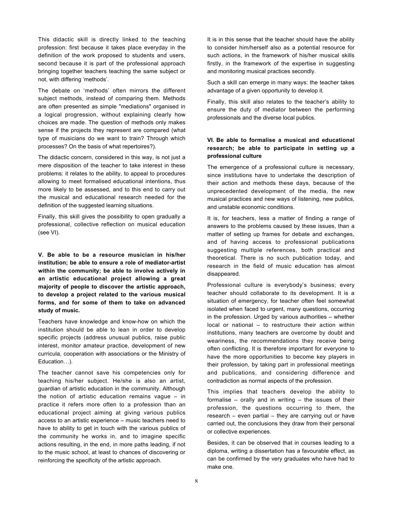This didactic skill is directly linked to the teaching profession: first because it takes place everyday in the definition of the work proposed to students and users, second because it is part of the professional approach bringing together teachers teaching the same subject or not, with differing 'methods'.

The debate on 'methods' often mirrors the different subject methods, instead of comparing them. Methods are often presented as simple "mediations" organised in a logical progression, without explaining clearly how choices are made. The question of methods only makes sense if the projects they represent are compared (what type of musicians do we want to train? Through which processes? On the basis of what repertoires?).

The didactic concern, considered in this way, is not just a mere disposition of the teacher to take interest in these problems: it relates to the ability, to appeal to procedures allowing to meet formalised educational intentions, thus more likely to be assessed, and to this end to carry out the musical and educational research needed for the definition of the suggested learning situations.

Finally, this skill gives the possibility to open gradually a professional, collective reflection on musical education (see VI).

**V. Be able to be a resource musician in his/her institution; be able to ensure a role of mediator-artist within the community; be able to involve actively in an artistic educational project allowing a great majority of people to discover the artistic approach, to develop a project related to the various musical forms, and for some of them to take on advanced study of music.**

Teachers have knowledge and know-how on which the institution should be able to lean in order to develop specific projects (address unusual publics, raise public interest, monitor amateur practice, development of new curricula, cooperation with associations or the Ministry of Education…).

The teacher cannot save his competencies only for teaching his/her subject. He/she is also an artist, guardian of artistic education in the community. Although the notion of artistic education remains vague – in practice it refers more often to a profession than an educational project aiming at giving various publics access to an artistic experience – music teachers need to have to ability to get in touch with the various publics of the community he works in, and to imagine specific actions resulting, in the end, in more paths leading, if not to the music school, at least to chances of discovering or reinforcing the specificity of the artistic approach.

It is in this sense that the teacher should have the ability to consider him/herself also as a potential resource for such actions, in the framework of his/her musical skills firstly, in the framework of the expertise in suggesting and monitoring musical practices secondly.

Such a skill can emerge in many ways: the teacher takes advantage of a given opportunity to develop it.

Finally, this skill also relates to the teacher's ability to ensure the duty of mediator between the performing professionals and the diverse local publics.

#### **VI. Be able to formalise a musical and educational research; be able to participate in setting up a professional culture**

The emergence of a professional culture is necessary, since institutions have to undertake the description of their action and methods these days, because of the unprecedented development of the media, the new musical practices and new ways of listening, new publics, and unstable economic conditions.

It is, for teachers, less a matter of finding a range of answers to the problems caused by these issues, than a matter of setting up frames for debate and exchanges, and of having access to professional publications suggesting multiple references, both practical and theoretical. There is no such publication today, and research in the field of music education has almost disappeared.

Professional culture is everybody's business; every teacher should collaborate to its development. It is a situation of emergency, for teacher often feel somewhat isolated when faced to urgent, many questions, occurring in the profession. Urged by various authorities – whether local or national – to restructure their action within institutions, many teachers are overcome by doubt and weariness, the recommendations they receive being often conflicting. It is therefore important for everyone to have the more opportunities to become key players in their profession, by taking part in professional meetings and publications, and considering difference and contradiction as normal aspects of the profession.

This implies that teachers develop the ability to formalise – orally and in writing – the issues of their profession, the questions occurring to them, the research – even partial – they are carrying out or have carried out, the conclusions they draw from their personal or collective experiences.

Besides, it can be observed that in courses leading to a diploma, writing a dissertation has a favourable effect, as can be confirmed by the very graduates who have had to make one.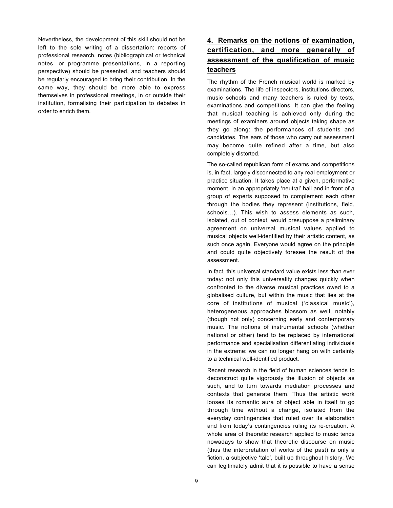Nevertheless, the development of this skill should not be left to the sole writing of a dissertation: reports of professional research, notes (bibliographical or technical notes, or programme presentations, in a reporting perspective) should be presented, and teachers should be regularly encouraged to bring their contribution. In the same way, they should be more able to express themselves in professional meetings, in or outside their institution, formalising their participation to debates in order to enrich them.

# **4. Remarks on the notions of examination, certification, and more generally of assessment of the qualification of music teachers**

The rhythm of the French musical world is marked by examinations. The life of inspectors, institutions directors, music schools and many teachers is ruled by tests, examinations and competitions. It can give the feeling that musical teaching is achieved only during the meetings of examiners around objects taking shape as they go along: the performances of students and candidates. The ears of those who carry out assessment may become quite refined after a time, but also completely distorted.

The so-called republican form of exams and competitions is, in fact, largely disconnected to any real employment or practice situation. It takes place at a given, performative moment, in an appropriately 'neutral' hall and in front of a group of experts supposed to complement each other through the bodies they represent (institutions, field, schools…). This wish to assess elements as such, isolated, out of context, would presuppose a preliminary agreement on universal musical values applied to musical objects well-identified by their artistic content, as such once again. Everyone would agree on the principle and could quite objectively foresee the result of the assessment.

In fact, this universal standard value exists less than ever today: not only this universality changes quickly when confronted to the diverse musical practices owed to a globalised culture, but within the music that lies at the core of institutions of musical ('classical music'), heterogeneous approaches blossom as well, notably (though not only) concerning early and contemporary music. The notions of instrumental schools (whether national or other) tend to be replaced by international performance and specialisation differentiating individuals in the extreme: we can no longer hang on with certainty to a technical well-identified product.

Recent research in the field of human sciences tends to deconstruct quite vigorously the illusion of objects as such, and to turn towards mediation processes and contexts that generate them. Thus the artistic work looses its romantic aura of object able in itself to go through time without a change, isolated from the everyday contingencies that ruled over its elaboration and from today's contingencies ruling its re-creation. A whole area of theoretic research applied to music tends nowadays to show that theoretic discourse on music (thus the interpretation of works of the past) is only a fiction, a subjective 'tale', built up throughout history. We can legitimately admit that it is possible to have a sense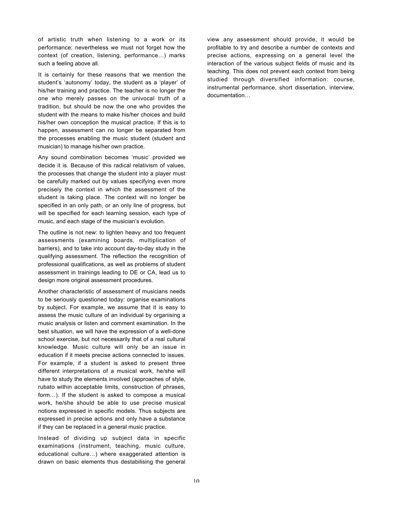of artistic truth when listening to a work or its performance; nevertheless we must not forget how the context (of creation, listening, performance…) marks such a feeling above all.

It is certainly for these reasons that we mention the student's 'autonomy' today, the student as a 'player' of his/her training and practice. The teacher is no longer the one who merely passes on the univocal truth of a tradition, but should be now the one who provides the student with the means to make his/her choices and build his/her own conception the musical practice. If this is to happen, assessment can no longer be separated from the processes enabling the music student (student and musician) to manage his/her own practice.

Any sound combination becomes 'music' provided we decide it is. Because of this radical relativism of values, the processes that change the student into a player must be carefully marked out by values specifying even more precisely the context in which the assessment of the student is taking place. The context will no longer be specified in an only path, or an only line of progress, but will be specified for each learning session, each type of music, and each stage of the musician's evolution.

The outline is not new: to lighten heavy and too frequent assessments (examining boards, multiplication of barriers), and to take into account day-to-day study in the qualifying assessment. The reflection the recognition of professional qualifications, as well as problems of student assessment in trainings leading to DE or CA, lead us to design more original assessment procedures.

Another characteristic of assessment of musicians needs to be seriously questioned today: organise examinations by subject. For example, we assume that it is easy to assess the music culture of an individual by organising a music analysis or listen and comment examination. In the best situation, we will have the expression of a well-done school exercise, but not necessarily that of a real cultural knowledge. Music culture will only be an issue in education if it meets precise actions connected to issues. For example, if a student is asked to present three different interpretations of a musical work, he/she will have to study the elements involved (approaches of style, rubato within acceptable limits, construction of phrases, form…). If the student is asked to compose a musical work, he/she should be able to use precise musical notions expressed in specific models. Thus subjects are expressed in precise actions and only have a substance if they can be replaced in a general music practice.

Instead of dividing up subject data in specific examinations (instrument, teaching, music culture, educational culture…) where exaggerated attention is drawn on basic elements thus destabilising the general

view any assessment should provide, it would be profitable to try and describe a number de contexts and precise actions, expressing on a general level the interaction of the various subject fields of music and its teaching. This does not prevent each context from being studied through diversified information: course, instrumental performance, short dissertation, interview, documentation…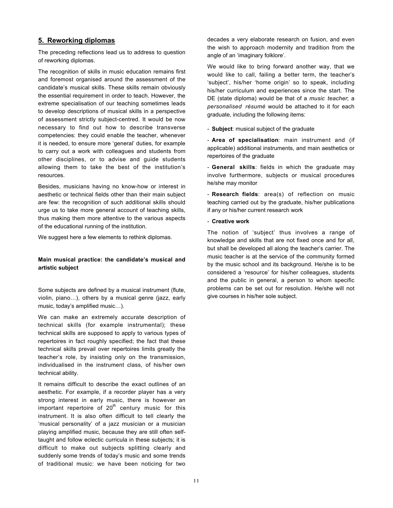## **5. Reworking diplomas**

The preceding reflections lead us to address to question of reworking diplomas.

The recognition of skills in music education remains first and foremost organised around the assessment of the candidate's musical skills. These skills remain obviously the essential requirement in order to teach. However, the extreme specialisation of our teaching sometimes leads to develop descriptions of musical skills in a perspective of assessment strictly subject-centred. It would be now necessary to find out how to describe transverse competencies: they could enable the teacher, whenever it is needed, to ensure more 'general' duties, for example to carry out a work with colleagues and students from other disciplines, or to advise and guide students allowing them to take the best of the institution's resources.

Besides, musicians having no know-how or interest in aesthetic or technical fields other than their main subject are few: the recognition of such additional skills should urge us to take more general account of teaching skills, thus making them more attentive to the various aspects of the educational running of the institution.

We suggest here a few elements to rethink diplomas.

#### **Main musical practice: the candidate's musical and artistic subject**

Some subjects are defined by a musical instrument (flute, violin, piano…), others by a musical genre (jazz, early music, today's amplified music…).

We can make an extremely accurate description of technical skills (for example instrumental); these technical skills are supposed to apply to various types of repertoires in fact roughly specified; the fact that these technical skills prevail over repertoires limits greatly the teacher's role, by insisting only on the transmission, individualised in the instrument class, of his/her own technical ability.

It remains difficult to describe the exact outlines of an aesthetic. For example, if a recorder player has a very strong interest in early music, there is however an important repertoire of  $20<sup>th</sup>$  century music for this instrument. It is also often difficult to tell clearly the 'musical personality' of a jazz musician or a musician playing amplified music, because they are still often selftaught and follow eclectic curricula in these subjects; it is difficult to make out subjects splitting clearly and suddenly some trends of today's music and some trends of traditional music: we have been noticing for two

decades a very elaborate research on fusion, and even the wish to approach modernity and tradition from the angle of an 'imaginary folklore'.

We would like to bring forward another way, that we would like to call, failing a better term, the teacher's 'subject', his/her 'home origin' so to speak, including his/her curriculum and experiences since the start. The DE (state diploma) would be that of a *music teacher*; a *personalised résumé* would be attached to it for each graduate, including the following items:

- **Subject**: musical subject of the graduate

- **Area of specialisation**: main instrument and (if applicable) additional instruments, and main aesthetics or repertoires of the graduate

- **General skills**: fields in which the graduate may involve furthermore, subjects or musical procedures he/she may monitor

- **Research fields**: area(s) of reflection on music teaching carried out by the graduate, his/her publications if any or his/her current research work

#### - **Creative work**

The notion of 'subject' thus involves a range of knowledge and skills that are not fixed once and for all, but shall be developed all along the teacher's carrier. The music teacher is at the service of the community formed by the music school and its background. He/she is to be considered a 'resource' for his/her colleagues, students and the public in general, a person to whom specific problems can be set out for resolution. He/she will not give courses in his/her sole subject.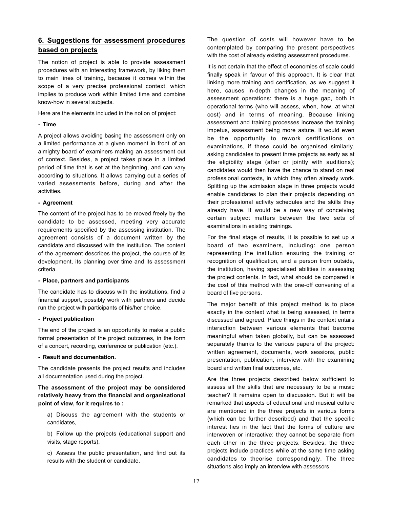# **6. Suggestions for assessment procedures based on projects**

The notion of project is able to provide assessment procedures with an interesting framework, by liking them to main lines of training, because it comes within the scope of a very precise professional context, which implies to produce work within limited time and combine know-how in several subjects.

Here are the elements included in the notion of project:

#### **- Time**

A project allows avoiding basing the assessment only on a limited performance at a given moment in front of an almighty board of examiners making an assessment out of context. Besides, a project takes place in a limited period of time that is set at the beginning, and can vary according to situations. It allows carrying out a series of varied assessments before, during and after the activities.

#### **- Agreement**

The content of the project has to be moved freely by the candidate to be assessed, meeting very accurate requirements specified by the assessing institution. The agreement consists of a document written by the candidate and discussed with the institution. The content of the agreement describes the project, the course of its development, its planning over time and its assessment criteria.

#### **- Place, partners and participants**

The candidate has to discuss with the institutions, find a financial support, possibly work with partners and decide run the project with participants of his/her choice.

#### **- Project publication**

The end of the project is an opportunity to make a public formal presentation of the project outcomes, in the form of a concert, recording, conference or publication (etc.).

#### **- Result and documentation.**

The candidate presents the project results and includes all documentation used during the project.

**The assessment of the project may be considered relatively heavy from the financial and organisational point of view, for it requires to :**

a) Discuss the agreement with the students or candidates,

b) Follow up the projects (educational support and visits, stage reports),

c) Assess the public presentation, and find out its results with the student or candidate.

The question of costs will however have to be contemplated by comparing the present perspectives with the cost of already existing assessment procedures.

It is not certain that the effect of economies of scale could finally speak in favour of this approach. It is clear that linking more training and certification, as we suggest it here, causes in-depth changes in the meaning of assessment operations: there is a huge gap, both in operational terms (who will assess, when, how, at what cost) and in terms of meaning. Because linking assessment and training processes increase the training impetus, assessment being more astute. It would even be the opportunity to rework certifications on examinations, if these could be organised similarly, asking candidates to present three projects as early as at the eligibility stage (after or jointly with auditions); candidates would then have the chance to stand on real professional contexts, in which they often already work. Splitting up the admission stage in three projects would enable candidates to plan their projects depending on their professional activity schedules and the skills they already have. It would be a new way of conceiving certain subject matters between the two sets of examinations in existing trainings.

For the final stage of results, it is possible to set up a board of two examiners, including: one person representing the institution ensuring the training or recognition of qualification, and a person from outside, the institution, having specialised abilities in assessing the project contents. In fact, what should be compared is the cost of this method with the one-off convening of a board of five persons.

The major benefit of this project method is to place exactly in the context what is being assessed, in terms discussed and agreed. Place things in the context entails interaction between various elements that become meaningful when taken globally, but can be assessed separately thanks to the various papers of the project: written agreement, documents, work sessions, public presentation, publication, interview with the examining board and written final outcomes, etc.

Are the three projects described below sufficient to assess all the skills that are necessary to be a music teacher? It remains open to discussion. But it will be remarked that aspects of educational and musical culture are mentioned in the three projects in various forms (which can be further described) and that the specific interest lies in the fact that the forms of culture are interwoven or interactive: they cannot be separate from each other in the three projects. Besides, the three projects include practices while at the same time asking candidates to theorise correspondingly. The three situations also imply an interview with assessors.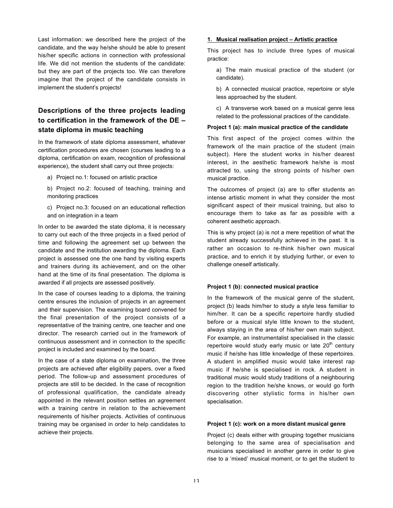Last information: we described here the project of the candidate, and the way he/she should be able to present his/her specific actions in connection with professional life. We did not mention the students of the candidate: but they are part of the projects too. We can therefore imagine that the project of the candidate consists in implement the student's projects!

# **Descriptions of the three projects leading to certification in the framework of the DE – state diploma in music teaching**

In the framework of state diploma assessment, whatever certification procedures are chosen (courses leading to a diploma, certification on exam, recognition of professional experience), the student shall carry out three projects:

a) Project no.1: focused on artistic practice

b) Project no.2: focused of teaching, training and monitoring practices

c) Project no.3: focused on an educational reflection and on integration in a team

In order to be awarded the state diploma, it is necessary to carry out each of the three projects in a fixed period of time and following the agreement set up between the candidate and the institution awarding the diploma. Each project is assessed one the one hand by visiting experts and trainers during its achievement, and on the other hand at the time of its final presentation. The diploma is awarded if all projects are assessed positively.

In the case of courses leading to a diploma, the training centre ensures the inclusion of projects in an agreement and their supervision. The examining board convened for the final presentation of the project consists of a representative of the training centre, one teacher and one director. The research carried out in the framework of continuous assessment and in connection to the specific project is included and examined by the board.

In the case of a state diploma on examination, the three projects are achieved after eligibility papers, over a fixed period. The follow-up and assessment procedures of projects are still to be decided. In the case of recognition of professional qualification, the candidate already appointed in the relevant position settles an agreement with a training centre in relation to the achievement requirements of his/her projects. Activities of continuous training may be organised in order to help candidates to achieve their projects.

#### **1. Musical realisation project – Artistic practice**

This project has to include three types of musical practice:

a) The main musical practice of the student (or candidate).

b) A connected musical practice, repertoire or style less approached by the student.

c) A transverse work based on a musical genre less related to the professional practices of the candidate.

#### **Project 1 (a): main musical practice of the candidate**

This first aspect of the project comes within the framework of the main practice of the student (main subject). Here the student works in his/her dearest interest, in the aesthetic framework he/she is most attracted to, using the strong points of his/her own musical practice.

The outcomes of project (a) are to offer students an intense artistic moment in what they consider the most significant aspect of their musical training, but also to encourage them to take as far as possible with a coherent aesthetic approach.

This is why project (a) is not a mere repetition of what the student already successfully achieved in the past. It is rather an occasion to re-think his/her own musical practice, and to enrich it by studying further, or even to challenge oneself artistically.

#### **Project 1 (b): connected musical practice**

In the framework of the musical genre of the student, project (b) leads him/her to study a style less familiar to him/her. It can be a specific repertoire hardly studied before or a musical style little known to the student, always staying in the area of his/her own main subject. For example, an instrumentalist specialised in the classic repertoire would study early music or late  $20<sup>th</sup>$  century music if he/she has little knowledge of these repertoires. A student in amplified music would take interest rap music if he/she is specialised in rock. A student in traditional music would study traditions of a neighbouring region to the tradition he/she knows, or would go forth discovering other stylistic forms in his/her own specialisation.

#### **Project 1 (c): work on a more distant musical genre**

Project (c) deals either with grouping together musicians belonging to the same area of specialisation and musicians specialised in another genre in order to give rise to a 'mixed' musical moment, or to get the student to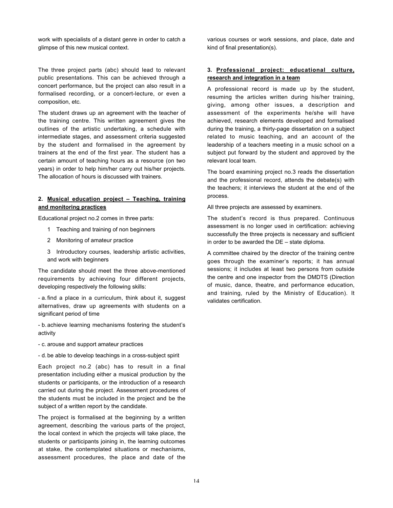work with specialists of a distant genre in order to catch a glimpse of this new musical context.

The three project parts (abc) should lead to relevant public presentations. This can be achieved through a concert performance, but the project can also result in a formalised recording, or a concert-lecture, or even a composition, etc.

The student draws up an agreement with the teacher of the training centre. This written agreement gives the outlines of the artistic undertaking, a schedule with intermediate stages, and assessment criteria suggested by the student and formalised in the agreement by trainers at the end of the first year. The student has a certain amount of teaching hours as a resource (on two years) in order to help him/her carry out his/her projects. The allocation of hours is discussed with trainers.

## **2. Musical education project – Teaching, training and monitoring practices**

Educational project no.2 comes in three parts:

- 1 Teaching and training of non beginners
- 2 Monitoring of amateur practice
- 3 Introductory courses, leadership artistic activities, and work with beginners

The candidate should meet the three above-mentioned requirements by achieving four different projects, developing respectively the following skills:

- a.find a place in a curriculum, think about it, suggest alternatives, draw up agreements with students on a significant period of time

- b.achieve learning mechanisms fostering the student's activity

- c. arouse and support amateur practices

- d. be able to develop teachings in a cross-subject spirit

Each project no.2 (abc) has to result in a final presentation including either a musical production by the students or participants, or the introduction of a research carried out during the project. Assessment procedures of the students must be included in the project and be the subject of a written report by the candidate.

The project is formalised at the beginning by a written agreement, describing the various parts of the project, the local context in which the projects will take place, the students or participants joining in, the learning outcomes at stake, the contemplated situations or mechanisms, assessment procedures, the place and date of the

various courses or work sessions, and place, date and kind of final presentation(s).

#### **3. Professional project: educational culture, research and integration in a team**

A professional record is made up by the student, resuming the articles written during his/her training, giving, among other issues, a description and assessment of the experiments he/she will have achieved, research elements developed and formalised during the training, a thirty-page dissertation on a subject related to music teaching, and an account of the leadership of a teachers meeting in a music school on a subject put forward by the student and approved by the relevant local team.

The board examining project no.3 reads the dissertation and the professional record, attends the debate(s) with the teachers; it interviews the student at the end of the process.

All three projects are assessed by examiners.

The student's record is thus prepared. Continuous assessment is no longer used in certification: achieving successfully the three projects is necessary and sufficient in order to be awarded the DE – state diploma.

A committee chaired by the director of the training centre goes through the examiner's reports; it has annual sessions; it includes at least two persons from outside the centre and one inspector from the DMDTS (Direction of music, dance, theatre, and performance education, and training, ruled by the Ministry of Education). It validates certification.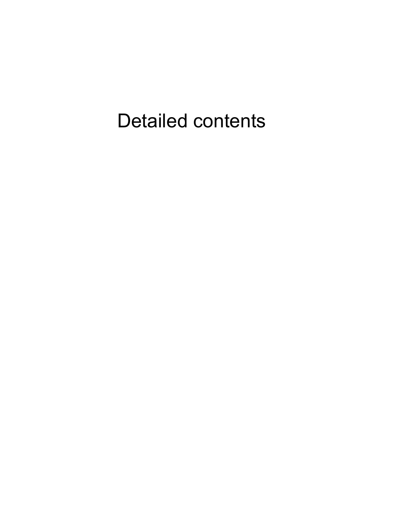# Detailed contents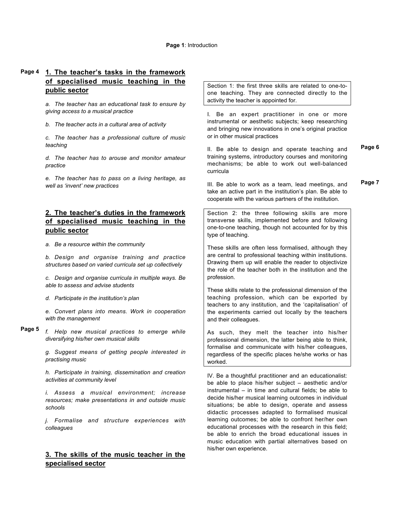#### **Page 1**: Introduction

#### **1. The teacher's tasks in the framework of specialised music teaching in the public sector Page 4**

*a. The teacher has an educational task to ensure by giving access to a musical practice*

*b. The teacher acts in a cultural area of activity*

*c. The teacher has a professional culture of music teaching*

*d. The teacher has to arouse and monitor amateur practice*

*e. The teacher has to pass on a living heritage, as well as 'invent' new practices*

# **2. The teacher's duties in the framework of specialised music teaching in the public sector**

*a. Be a resource within the community*

*b. Design and organise training and practice structures based on varied curricula set up collectively*

*c. Design and organise curricula in multiple ways. Be able to assess and advise students*

*d. Participate in the institution's plan*

*e. Convert plans into means. Work in cooperation with the management*

*f. Help new musical practices to emerge while diversifying his/her own musical skills* **Page 5**

> *g. Suggest means of getting people interested in practising music*

> *h. Participate in training, dissemination and creation activities at community level*

> *i. Assess a musical environment; increase resources; make presentations in and outside music schools*

> *j. Formalise and structure experiences with colleagues*

# **3. The skills of the music teacher in the specialised sector**

Section 1: the first three skills are related to one-toone teaching. They are connected directly to the activity the teacher is appointed for.

I. Be an expert practitioner in one or more instrumental or aesthetic subjects; keep researching and bringing new innovations in one's original practice or in other musical practices

II. Be able to design and operate teaching and training systems, introductory courses and monitoring mechanisms; be able to work out well-balanced curricula

III. Be able to work as a team, lead meetings, and take an active part in the institution's plan. Be able to cooperate with the various partners of the institution. **Page 7**

Section 2: the three following skills are more transverse skills, implemented before and following one-to-one teaching, though not accounted for by this type of teaching.

These skills are often less formalised, although they are central to professional teaching within institutions. Drawing them up will enable the reader to objectivize the role of the teacher both in the institution and the profession.

These skills relate to the professional dimension of the teaching profession, which can be exported by teachers to any institution, and the 'capitalisation' of the experiments carried out locally by the teachers and their colleagues.

As such, they melt the teacher into his/her professional dimension, the latter being able to think, formalise and communicate with his/her colleagues, regardless of the specific places he/she works or has worked.

IV. Be a thoughtful practitioner and an educationalist: be able to place his/her subject – aesthetic and/or instrumental – in time and cultural fields; be able to decide his/her musical learning outcomes in individual situations; be able to design, operate and assess didactic processes adapted to formalised musical learning outcomes; be able to confront her/her own educational processes with the research in this field; be able to enrich the broad educational issues in music education with partial alternatives based on his/her own experience.

**Page 6**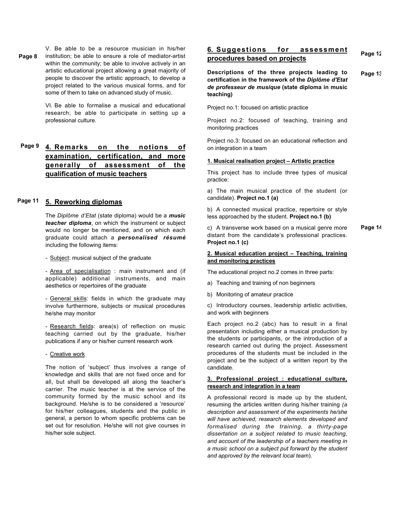V. Be able to be a resource musician in his/her institution; be able to ensure a role of mediator-artist within the community; be able to involve actively in an artistic educational project allowing a great majority of people to discover the artistic approach, to develop a project related to the various musical forms, and for some of them to take on advanced study of music. **Page 8**

> VI. Be able to formalise a musical and educational research; be able to participate in setting up a professional culture.

#### **4. Remarks on the notions of examination, certification, and more generally of assessment of the qualification of music teachers Page 9**

#### **5. Reworking diplomas Page 11**

The *Diplôme d'Etat* (state diploma) would be a *music teacher diploma*, on which the instrument or subject would no longer be mentioned, and on which each graduate could attach a *personalised résumé* including the following items:

- Subject: musical subject of the graduate

- Area of specialisation : main instrument and (if applicable) additional instruments, and main aesthetics or repertoires of the graduate

- General skills: fields in which the graduate may involve furthermore, subjects or musical procedures he/she may monitor

- Research fields: area(s) of reflection on music teaching carried out by the graduate, his/her publications if any or his/her current research work

- Creative work

The notion of 'subject' thus involves a range of knowledge and skills that are not fixed once and for all, but shall be developed all along the teacher's carrier. The music teacher is at the service of the community formed by the music school and its background. He/she is to be considered a 'resource' for his/her colleagues, students and the public in general, a person to whom specific problems can be set out for resolution. He/she will not give courses in his/her sole subject.

#### **6. Suggestions for assessment procedures based on projects Page 12**

**Descriptions of the three projects leading to certification in the framework of the** *Diplôme d'Etat de professeur de musique* **(state diploma in music teaching) Page 13**

Project no.1: focused on artistic practice

Project no.2: focused of teaching, training and monitoring practices

Project no.3: focused on an educational reflection and on integration in a team

#### **1. Musical realisation project – Artistic practice**

This project has to include three types of musical practice:

a) The main musical practice of the student (or candidate). **Project no.1 (a)**

b) A connected musical practice, repertoire or style less approached by the student. **Project no.1 (b)**

c) A transverse work based on a musical genre more distant from the candidate's professional practices. **Project no.1 (c) Page 14**

#### **2. Musical education project – Teaching, training and monitoring practices**

The educational project no.2 comes in three parts:

- a) Teaching and training of non beginners
- b) Monitoring of amateur practice

c) Introductory courses, leadership artistic activities, and work with beginners

Each project no.2 (abc) has to result in a final presentation including either a musical production by the students or participants, or the introduction of a research carried out during the project. Assessment procedures of the students must be included in the project and be the subject of a written report by the candidate.

#### **3. Professional project : educational culture, research and integration in a team**

A professional record is made up by the student, resuming the articles written during his/her training *(a description and assessment of the experiments he/she will have achieved, research elements developed and formalised during the training, a thirty-page dissertation on a subject related to music teaching, and account of the leadership of a teachers meeting in a music school on a subject put forward by the student and approved by the relevant local team*).